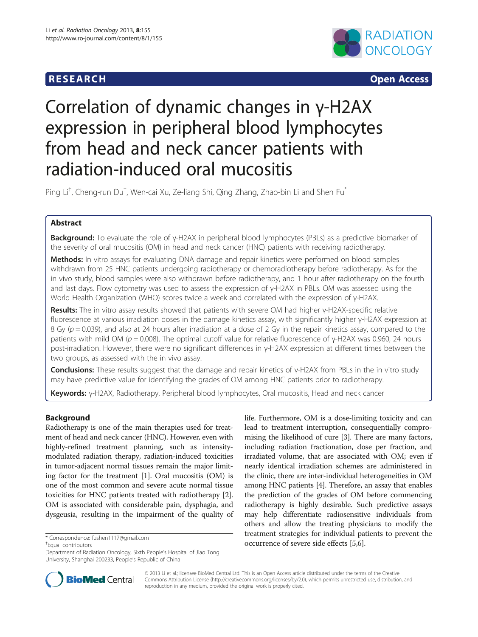

**RESEARCH RESEARCH CONSUMING ACCESS** 

# Correlation of dynamic changes in γ-H2AX expression in peripheral blood lymphocytes from head and neck cancer patients with radiation-induced oral mucositis

Ping Li<sup>t</sup>, Cheng-run Du<sup>t</sup>, Wen-cai Xu, Ze-liang Shi, Qing Zhang, Zhao-bin Li and Shen Fu<sup>\*</sup>

### Abstract

Background: To evaluate the role of γ-H2AX in peripheral blood lymphocytes (PBLs) as a predictive biomarker of the severity of oral mucositis (OM) in head and neck cancer (HNC) patients with receiving radiotherapy.

Methods: In vitro assays for evaluating DNA damage and repair kinetics were performed on blood samples withdrawn from 25 HNC patients undergoing radiotherapy or chemoradiotherapy before radiotherapy. As for the in vivo study, blood samples were also withdrawn before radiotherapy, and 1 hour after radiotherapy on the fourth and last days. Flow cytometry was used to assess the expression of γ-H2AX in PBLs. OM was assessed using the World Health Organization (WHO) scores twice a week and correlated with the expression of γ-H2AX.

Results: The in vitro assay results showed that patients with severe OM had higher γ-H2AX-specific relative fluorescence at various irradiation doses in the damage kinetics assay, with significantly higher γ-H2AX expression at 8 Gy ( $p = 0.039$ ), and also at 24 hours after irradiation at a dose of 2 Gy in the repair kinetics assay, compared to the patients with mild OM ( $p = 0.008$ ). The optimal cutoff value for relative fluorescence of γ-H2AX was 0.960, 24 hours post-irradiation. However, there were no significant differences in γ-H2AX expression at different times between the two groups, as assessed with the in vivo assay.

Conclusions: These results suggest that the damage and repair kinetics of γ-H2AX from PBLs in the in vitro study may have predictive value for identifying the grades of OM among HNC patients prior to radiotherapy.

Keywords: γ-H2AX, Radiotherapy, Peripheral blood lymphocytes, Oral mucositis, Head and neck cancer

#### Background

Radiotherapy is one of the main therapies used for treatment of head and neck cancer (HNC). However, even with highly-refined treatment planning, such as intensitymodulated radiation therapy, radiation-induced toxicities in tumor-adjacent normal tissues remain the major limiting factor for the treatment [\[1](#page-6-0)]. Oral mucositis (OM) is one of the most common and severe acute normal tissue toxicities for HNC patients treated with radiotherapy [[2](#page-6-0)]. OM is associated with considerable pain, dysphagia, and dysgeusia, resulting in the impairment of the quality of

Equal contributors

life. Furthermore, OM is a dose-limiting toxicity and can lead to treatment interruption, consequentially compromising the likelihood of cure [\[3](#page-6-0)]. There are many factors, including radiation fractionation, dose per fraction, and irradiated volume, that are associated with OM; even if nearly identical irradiation schemes are administered in the clinic, there are inter-individual heterogeneities in OM among HNC patients [\[4\]](#page-6-0). Therefore, an assay that enables the prediction of the grades of OM before commencing radiotherapy is highly desirable. Such predictive assays may help differentiate radiosensitive individuals from others and allow the treating physicians to modify the treatment strategies for individual patients to prevent the \*Correspondence: [fushen1117@gmail.com](mailto:fushen1117@gmail.com) **\*** Correspondence: fushen1117@gmail.com **\*** Equal contributors **the effects** [[5,6\]](#page-6-0).



© 2013 Li et al.; licensee BioMed Central Ltd. This is an Open Access article distributed under the terms of the Creative Commons Attribution License [\(http://creativecommons.org/licenses/by/2.0\)](http://creativecommons.org/licenses/by/2.0), which permits unrestricted use, distribution, and reproduction in any medium, provided the original work is properly cited.

Department of Radiation Oncology, Sixth People's Hospital of Jiao Tong University, Shanghai 200233, People's Republic of China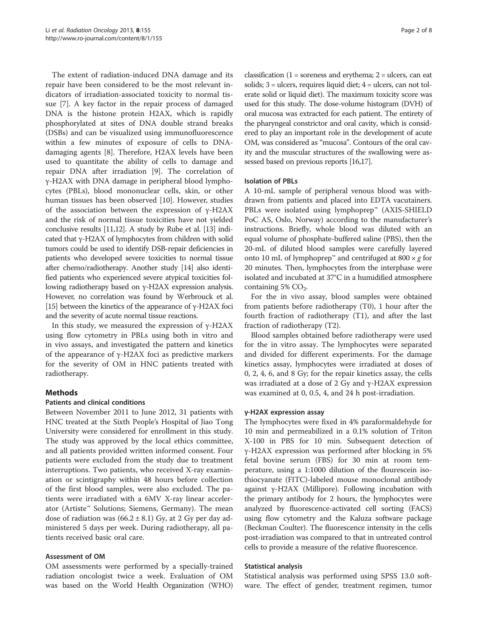The extent of radiation-induced DNA damage and its repair have been considered to be the most relevant indicators of irradiation-associated toxicity to normal tissue [[7\]](#page-6-0). A key factor in the repair process of damaged DNA is the histone protein H2AX, which is rapidly phosphorylated at sites of DNA double strand breaks (DSBs) and can be visualized using immunofluorescence within a few minutes of exposure of cells to DNAdamaging agents [[8\]](#page-6-0). Therefore, H2AX levels have been used to quantitate the ability of cells to damage and repair DNA after irradiation [\[9](#page-6-0)]. The correlation of γ-H2AX with DNA damage in peripheral blood lymphocytes (PBLs), blood mononuclear cells, skin, or other human tissues has been observed [\[10\]](#page-6-0). However, studies of the association between the expression of γ-H2AX and the risk of normal tissue toxicities have not yielded conclusive results [\[11,12\]](#page-6-0). A study by Rube et al. [\[13\]](#page-6-0) indicated that γ-H2AX of lymphocytes from children with solid tumors could be used to identify DSB-repair deficiencies in patients who developed severe toxicities to normal tissue after chemo/radiotherapy. Another study [[14](#page-6-0)] also identified patients who experienced severe atypical toxicities following radiotherapy based on γ-H2AX expression analysis. However, no correlation was found by Werbrouck et al. [[15](#page-6-0)] between the kinetics of the appearance of  $\gamma$ -H2AX foci and the severity of acute normal tissue reactions.

In this study, we measured the expression of γ-H2AX using flow cytometry in PBLs using both in vitro and in vivo assays, and investigated the pattern and kinetics of the appearance of γ-H2AX foci as predictive markers for the severity of OM in HNC patients treated with radiotherapy.

#### Methods

#### Patients and clinical conditions

Between November 2011 to June 2012, 31 patients with HNC treated at the Sixth People's Hospital of Jiao Tong University were considered for enrollment in this study. The study was approved by the local ethics committee, and all patients provided written informed consent. Four patients were excluded from the study due to treatment interruptions. Two patients, who received X-ray examination or scintigraphy within 48 hours before collection of the first blood samples, were also excluded. The patients were irradiated with a 6MV X-ray linear accelerator (Artiste™ Solutions; Siemens, Germany). The mean dose of radiation was  $(66.2 \pm 8.1)$  Gy, at 2 Gy per day administered 5 days per week. During radiotherapy, all patients received basic oral care.

#### Assessment of OM

OM assessments were performed by a specially-trained radiation oncologist twice a week. Evaluation of OM was based on the World Health Organization (WHO)

classification  $(1 =$  soreness and erythema;  $2 =$  ulcers, can eat solids;  $3 =$  ulcers, requires liquid diet;  $4 =$  ulcers, can not tolerate solid or liquid diet). The maximum toxicity score was used for this study. The dose-volume histogram (DVH) of oral mucosa was extracted for each patient. The entirety of the pharyngeal constrictor and oral cavity, which is considered to play an important role in the development of acute OM, was considered as "mucosa". Contours of the oral cavity and the muscular structures of the swallowing were assessed based on previous reports [\[16,17](#page-7-0)].

#### Isolation of PBLs

A 10-mL sample of peripheral venous blood was withdrawn from patients and placed into EDTA vacutainers. PBLs were isolated using lymphoprep™ (AXIS-SHIELD PoC AS, Oslo, Norway) according to the manufacturer's instructions. Briefly, whole blood was diluted with an equal volume of phosphate-buffered saline (PBS), then the 20-mL of diluted blood samples were carefully layered onto 10 mL of lymphoprep™ and centrifuged at 800  $\times$  g for 20 minutes. Then, lymphocytes from the interphase were isolated and incubated at 37°C in a humidified atmosphere containing 5%  $CO<sub>2</sub>$ .

For the in vivo assay, blood samples were obtained from patients before radiotherapy (T0), 1 hour after the fourth fraction of radiotherapy (T1), and after the last fraction of radiotherapy (T2).

Blood samples obtained before radiotherapy were used for the in vitro assay. The lymphocytes were separated and divided for different experiments. For the damage kinetics assay, lymphocytes were irradiated at doses of 0, 2, 4, 6, and 8 Gy; for the repair kinetics assay, the cells was irradiated at a dose of 2 Gy and γ-H2AX expression was examined at 0, 0.5, 4, and 24 h post-irradiation.

#### γ-H2AX expression assay

The lymphocytes were fixed in 4% paraformaldehyde for 10 min and permeabilized in a 0.1% solution of Triton X-100 in PBS for 10 min. Subsequent detection of γ-H2AX expression was performed after blocking in 5% fetal bovine serum (FBS) for 30 min at room temperature, using a 1:1000 dilution of the flourescein isothiocyanate (FITC)-labeled mouse monoclonal antibody against γ-H2AX (Millipore). Following incubation with the primary antibody for 2 hours, the lymphocytes were analyzed by fluorescence-activated cell sorting (FACS) using flow cytometry and the Kaluza software package (Beckman Coulter). The fluorescence intensity in the cells post-irradiation was compared to that in untreated control cells to provide a measure of the relative fluorescence.

#### Statistical analysis

Statistical analysis was performed using SPSS 13.0 software. The effect of gender, treatment regimen, tumor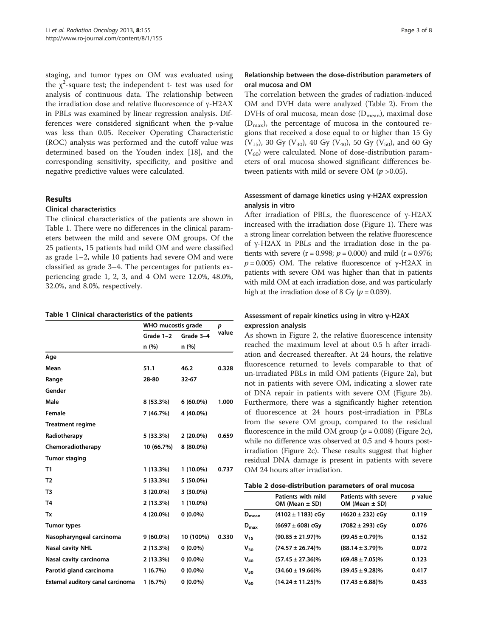staging, and tumor types on OM was evaluated using the  $\chi^2$ -square test; the independent t- test was used for analysis of continuous data. The relationship between the irradiation dose and relative fluorescence of γ-H2AX in PBLs was examined by linear regression analysis. Differences were considered significant when the p-value was less than 0.05. Receiver Operating Characteristic (ROC) analysis was performed and the cutoff value was determined based on the Youden index [\[18\]](#page-7-0), and the corresponding sensitivity, specificity, and positive and negative predictive values were calculated.

#### Results

#### Clinical characteristics

The clinical characteristics of the patients are shown in Table 1. There were no differences in the clinical parameters between the mild and severe OM groups. Of the 25 patients, 15 patients had mild OM and were classified as grade 1–2, while 10 patients had severe OM and were classified as grade 3–4. The percentages for patients experiencing grade 1, 2, 3, and 4 OM were 12.0%, 48.0%, 32.0%, and 8.0%, respectively.

#### Table 1 Clinical characteristics of the patients

|                                   | WHO mucostis grade |             | p     |
|-----------------------------------|--------------------|-------------|-------|
|                                   | Grade 1-2          | Grade 3-4   | value |
|                                   | n (%)              | n(%)        |       |
| Age                               |                    |             |       |
| Mean                              | 51.1               | 46.2        | 0.328 |
| Range                             | 28-80              | $32 - 67$   |       |
| Gender                            |                    |             |       |
| Male                              | 8 (53.3%)          | $6(60.0\%)$ | 1.000 |
| Female                            | 7 (46.7%)          | 4 (40.0%)   |       |
| <b>Treatment regime</b>           |                    |             |       |
| Radiotherapy                      | 5 (33.3%)          | $2(20.0\%)$ | 0.659 |
| Chemoradiotherapy                 | 10 (66.7%)         | 8 (80.0%)   |       |
| <b>Tumor staging</b>              |                    |             |       |
| T1                                | 1 (13.3%)          | 1 (10.0%)   | 0.737 |
| T <sub>2</sub>                    | 5 (33.3%)          | 5 (50.0%)   |       |
| T <sub>3</sub>                    | 3 (20.0%)          | $3(30.0\%)$ |       |
| T4                                | 2 (13.3%)          | 1 (10.0%)   |       |
| Tx                                | 4 (20.0%)          | $0(0.0\%)$  |       |
| <b>Tumor types</b>                |                    |             |       |
| Nasopharyngeal carcinoma          | $9(60.0\%)$        | 10 (100%)   | 0.330 |
| <b>Nasal cavity NHL</b>           | 2(13.3%)           | $0(0.0\%)$  |       |
| Nasal cavity carcinoma            | 2(13.3%)           | $0(0.0\%)$  |       |
| Parotid gland carcinoma           | 1(6.7%)            | $0(0.0\%)$  |       |
| External auditory canal carcinoma | 1(6.7%)            | $0(0.0\%)$  |       |

#### Relationship between the dose-distribution parameters of oral mucosa and OM

The correlation between the grades of radiation-induced OM and DVH data were analyzed (Table 2). From the DVHs of oral mucosa, mean dose  $(D_{mean})$ , maximal dose  $(D_{\text{max}})$ , the percentage of mucosa in the contoured regions that received a dose equal to or higher than 15 Gy (V<sub>15</sub>), 30 Gy (V<sub>30</sub>), 40 Gy (V<sub>40</sub>), 50 Gy (V<sub>50</sub>), and 60 Gy  $(V_{60})$  were calculated. None of dose-distribution parameters of oral mucosa showed significant differences between patients with mild or severe OM ( $p > 0.05$ ).

#### Assessment of damage kinetics using γ-H2AX expression analysis in vitro

After irradiation of PBLs, the fluorescence of γ-H2AX increased with the irradiation dose (Figure [1\)](#page-3-0). There was a strong linear correlation between the relative fluorescence of γ-H2AX in PBLs and the irradiation dose in the patients with severe (r = 0.998;  $p = 0.000$ ) and mild (r = 0.976;  $p = 0.005$ ) OM. The relative fluorescence of γ-H2AX in patients with severe OM was higher than that in patients with mild OM at each irradiation dose, and was particularly high at the irradiation dose of 8 Gy ( $p = 0.039$ ).

#### Assessment of repair kinetics using in vitro γ-H2AX expression analysis

As shown in Figure [2,](#page-4-0) the relative fluorescence intensity reached the maximum level at about 0.5 h after irradiation and decreased thereafter. At 24 hours, the relative fluorescence returned to levels comparable to that of un-irradiated PBLs in mild OM patients (Figure [2a](#page-4-0)), but not in patients with severe OM, indicating a slower rate of DNA repair in patients with severe OM (Figure [2](#page-4-0)b). Furthermore, there was a significantly higher retention of fluorescence at 24 hours post-irradiation in PBLs from the severe OM group, compared to the residual fluorescence in the mild OM group ( $p = 0.008$ ) (Figure [2](#page-4-0)c), while no difference was observed at 0.5 and 4 hours postirradiation (Figure [2](#page-4-0)c). These results suggest that higher residual DNA damage is present in patients with severe OM 24 hours after irradiation.

|  | Table 2 dose-distribution parameters of oral mucosa |
|--|-----------------------------------------------------|
|--|-----------------------------------------------------|

|                  | <b>Patients with severe</b><br><b>Patients with mild</b><br>OM (Mean $\pm$ SD)<br>OM (Mean $\pm$ SD) |                      | p value |
|------------------|------------------------------------------------------------------------------------------------------|----------------------|---------|
| $D_{mean}$       | $(4102 \pm 1183)$ cGy                                                                                | $(4620 \pm 232)$ cGy | 0.119   |
| $D_{\text{max}}$ | $(6697 \pm 608)$ cGy                                                                                 | $(7082 \pm 293)$ cGy | 0.076   |
| V15              | $(90.85 \pm 21.97)\%$                                                                                | $(99.45 \pm 0.79)\%$ | 0.152   |
| Van              | $(74.57 \pm 26.74)\%$                                                                                | $(88.14 \pm 3.79)\%$ | 0.072   |
| $V_{40}$         | $(57.45 \pm 27.36)\%$                                                                                | $(69.48 \pm 7.05)\%$ | 0.123   |
| V <sub>so</sub>  | $(34.60 \pm 19.66)\%$                                                                                | $(39.45 \pm 9.28)\%$ | 0.417   |
| V <sub>60</sub>  | $(14.24 \pm 11.25)\%$                                                                                | $(17.43 \pm 6.88)\%$ | 0.433   |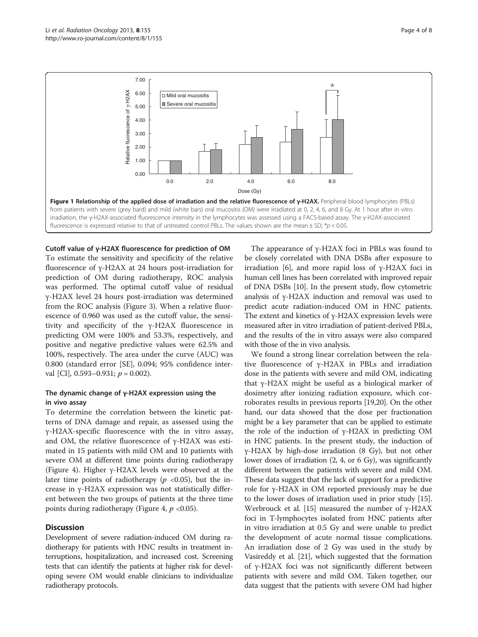<span id="page-3-0"></span>

Cutoff value of γ-H2AX fluorescence for prediction of OM To estimate the sensitivity and specificity of the relative fluorescence of γ-H2AX at 24 hours post-irradiation for prediction of OM during radiotherapy, ROC analysis was performed. The optimal cutoff value of residual γ-H2AX level 24 hours post-irradiation was determined from the ROC analysis (Figure [3\)](#page-5-0). When a relative fluorescence of 0.960 was used as the cutoff value, the sensitivity and specificity of the γ-H2AX fluorescence in predicting OM were 100% and 53.3%, respectively, and positive and negative predictive values were 62.5% and 100%, respectively. The area under the curve (AUC) was 0.800 (standard error [SE], 0.094; 95% confidence interval [CI],  $0.593-0.931$ ;  $p = 0.002$ ).

#### The dynamic change of γ-H2AX expression using the in vivo assay

To determine the correlation between the kinetic patterns of DNA damage and repair, as assessed using the γ-H2AX-specific fluorescence with the in vitro assay, and OM, the relative fluorescence of γ-H2AX was estimated in 15 patients with mild OM and 10 patients with severe OM at different time points during radiotherapy (Figure [4\)](#page-5-0). Higher γ-H2AX levels were observed at the later time points of radiotherapy ( $p \lt 0.05$ ), but the increase in γ-H2AX expression was not statistically different between the two groups of patients at the three time points during radiotherapy (Figure [4](#page-5-0),  $p$  <0.05).

#### **Discussion**

Development of severe radiation-induced OM during radiotherapy for patients with HNC results in treatment interruptions, hospitalization, and increased cost. Screening tests that can identify the patients at higher risk for developing severe OM would enable clinicians to individualize radiotherapy protocols.

The appearance of γ-H2AX foci in PBLs was found to be closely correlated with DNA DSBs after exposure to irradiation [\[6\]](#page-6-0), and more rapid loss of γ-H2AX foci in human cell lines has been correlated with improved repair of DNA DSBs [[10\]](#page-6-0). In the present study, flow cytometric analysis of γ-H2AX induction and removal was used to predict acute radiation-induced OM in HNC patients. The extent and kinetics of γ-H2AX expression levels were measured after in vitro irradiation of patient-derived PBLs, and the results of the in vitro assays were also compared with those of the in vivo analysis.

We found a strong linear correlation between the relative fluorescence of γ-H2AX in PBLs and irradiation dose in the patients with severe and mild OM, indicating that γ-H2AX might be useful as a biological marker of dosimetry after ionizing radiation exposure, which corroborates results in previous reports [[19,20](#page-7-0)]. On the other hand, our data showed that the dose per fractionation might be a key parameter that can be applied to estimate the role of the induction of γ-H2AX in predicting OM in HNC patients. In the present study, the induction of γ-H2AX by high-dose irradiation (8 Gy), but not other lower doses of irradiation (2, 4, or 6 Gy), was significantly different between the patients with severe and mild OM. These data suggest that the lack of support for a predictive role for γ-H2AX in OM reported previously may be due to the lower doses of irradiation used in prior study [[15](#page-6-0)]. Werbrouck et al. [\[15](#page-6-0)] measured the number of  $γ$ -H2AX foci in T-lymphocytes isolated from HNC patients after in vitro irradiation at 0.5 Gy and were unable to predict the development of acute normal tissue complications. An irradiation dose of 2 Gy was used in the study by Vasireddy et al. [\[21](#page-7-0)], which suggested that the formation of γ-H2AX foci was not significantly different between patients with severe and mild OM. Taken together, our data suggest that the patients with severe OM had higher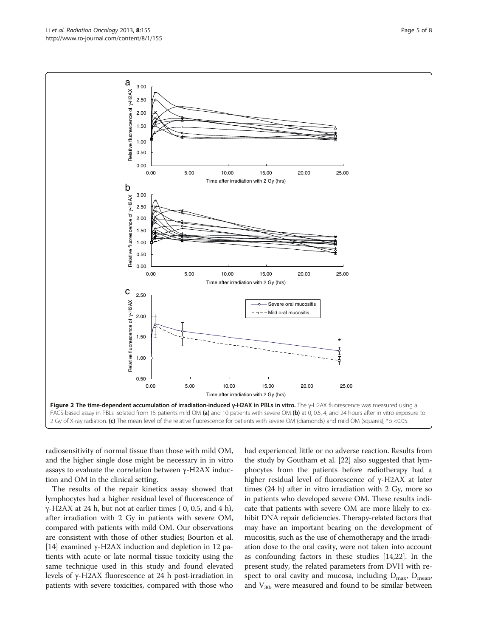radiosensitivity of normal tissue than those with mild OM, and the higher single dose might be necessary in in vitro assays to evaluate the correlation between γ-H2AX induction and OM in the clinical setting.

The results of the repair kinetics assay showed that lymphocytes had a higher residual level of fluorescence of γ-H2AX at 24 h, but not at earlier times  $( 0, 0.5,$  and  $4 h$ ), after irradiation with 2 Gy in patients with severe OM, compared with patients with mild OM. Our observations are consistent with those of other studies; Bourton et al. [[14](#page-6-0)] examined γ-H2AX induction and depletion in 12 patients with acute or late normal tissue toxicity using the same technique used in this study and found elevated levels of γ-H2AX fluorescence at 24 h post-irradiation in patients with severe toxicities, compared with those who had experienced little or no adverse reaction. Results from the study by Goutham et al. [[22](#page-7-0)] also suggested that lymphocytes from the patients before radiotherapy had a higher residual level of fluorescence of γ-H2AX at later times (24 h) after in vitro irradiation with 2 Gy, more so in patients who developed severe OM. These results indicate that patients with severe OM are more likely to exhibit DNA repair deficiencies. Therapy-related factors that may have an important bearing on the development of mucositis, such as the use of chemotherapy and the irradiation dose to the oral cavity, were not taken into account as confounding factors in these studies [[14](#page-6-0)[,22\]](#page-7-0). In the present study, the related parameters from DVH with respect to oral cavity and mucosa, including  $D_{\text{max}}$ ,  $D_{\text{mean}}$ , and  $V_{30}$ , were measured and found to be similar between

<span id="page-4-0"></span>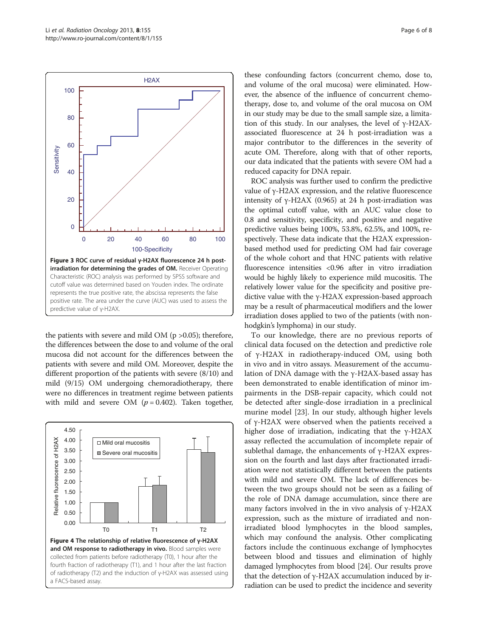<span id="page-5-0"></span>

the patients with severe and mild OM ( $p > 0.05$ ); therefore, the differences between the dose to and volume of the oral mucosa did not account for the differences between the patients with severe and mild OM. Moreover, despite the different proportion of the patients with severe (8/10) and mild (9/15) OM undergoing chemoradiotherapy, there were no differences in treatment regime between patients with mild and severe OM  $(p = 0.402)$ . Taken together,



these confounding factors (concurrent chemo, dose to, and volume of the oral mucosa) were eliminated. However, the absence of the influence of concurrent chemotherapy, dose to, and volume of the oral mucosa on OM in our study may be due to the small sample size, a limitation of this study. In our analyses, the level of γ-H2AXassociated fluorescence at 24 h post-irradiation was a major contributor to the differences in the severity of acute OM. Therefore, along with that of other reports, our data indicated that the patients with severe OM had a reduced capacity for DNA repair.

ROC analysis was further used to confirm the predictive value of γ-H2AX expression, and the relative fluorescence intensity of γ-H2AX (0.965) at 24 h post-irradiation was the optimal cutoff value, with an AUC value close to 0.8 and sensitivity, specificity, and positive and negative predictive values being 100%, 53.8%, 62.5%, and 100%, respectively. These data indicate that the H2AX expressionbased method used for predicting OM had fair coverage of the whole cohort and that HNC patients with relative fluorescence intensities <0.96 after in vitro irradiation would be highly likely to experience mild mucositis. The relatively lower value for the specificity and positive predictive value with the γ-H2AX expression-based approach may be a result of pharmaceutical modifiers and the lower irradiation doses applied to two of the patients (with nonhodgkin's lymphoma) in our study.

To our knowledge, there are no previous reports of clinical data focused on the detection and predictive role of γ-H2AX in radiotherapy-induced OM, using both in vivo and in vitro assays. Measurement of the accumulation of DNA damage with the γ-H2AX-based assay has been demonstrated to enable identification of minor impairments in the DSB-repair capacity, which could not be detected after single-dose irradiation in a preclinical murine model [\[23](#page-7-0)]. In our study, although higher levels of γ-H2AX were observed when the patients received a higher dose of irradiation, indicating that the γ-H2AX assay reflected the accumulation of incomplete repair of sublethal damage, the enhancements of γ-H2AX expression on the fourth and last days after fractionated irradiation were not statistically different between the patients with mild and severe OM. The lack of differences between the two groups should not be seen as a failing of the role of DNA damage accumulation, since there are many factors involved in the in vivo analysis of  $γ$ -H2AX expression, such as the mixture of irradiated and nonirradiated blood lymphocytes in the blood samples, which may confound the analysis. Other complicating factors include the continuous exchange of lymphocytes between blood and tissues and elimination of highly damaged lymphocytes from blood [[24](#page-7-0)]. Our results prove that the detection of γ-H2AX accumulation induced by irradiation can be used to predict the incidence and severity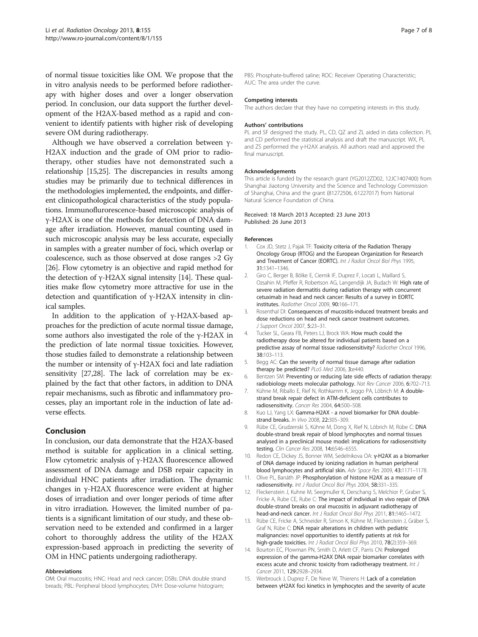<span id="page-6-0"></span>of normal tissue toxicities like OM. We propose that the in vitro analysis needs to be performed before radiotherapy with higher doses and over a longer observation period. In conclusion, our data support the further development of the H2AX-based method as a rapid and convenient to identify patients with higher risk of developing severe OM during radiotherapy.

Although we have observed a correlation between γ-H2AX induction and the grade of OM prior to radiotherapy, other studies have not demonstrated such a relationship [15,[25](#page-7-0)]. The discrepancies in results among studies may be primarily due to technical differences in the methodologies implemented, the endpoints, and different clinicopathological characteristics of the study populations. Immunoflurorescence-based microscopic analysis of γ-H2AX is one of the methods for detection of DNA damage after irradiation. However, manual counting used in such microscopic analysis may be less accurate, especially in samples with a greater number of foci, which overlap or coalescence, such as those observed at dose ranges >2 Gy [[26](#page-7-0)]. Flow cytometry is an objective and rapid method for the detection of γ-H2AX signal intensity [14]. These qualities make flow cytometry more attractive for use in the detection and quantification of γ-H2AX intensity in clinical samples.

In addition to the application of γ-H2AX-based approaches for the prediction of acute normal tissue damage, some authors also investigated the role of the γ-H2AX in the prediction of late normal tissue toxicities. However, those studies failed to demonstrate a relationship between the number or intensity of  $γ$ -H2AX foci and late radiation sensitivity [\[27,28](#page-7-0)]. The lack of correlation may be explained by the fact that other factors, in addition to DNA repair mechanisms, such as fibrotic and inflammatory processes, play an important role in the induction of late adverse effects.

#### Conclusion

In conclusion, our data demonstrate that the H2AX-based method is suitable for application in a clinical setting. Flow cytometric analysis of  $γ$ -H2AX fluorescence allowed assessment of DNA damage and DSB repair capacity in individual HNC patients after irradiation. The dynamic changes in γ-H2AX fluorescence were evident at higher doses of irradiation and over longer periods of time after in vitro irradiation. However, the limited number of patients is a significant limitation of our study, and these observation need to be extended and confirmed in a larger cohort to thoroughly address the utility of the H2AX expression-based approach in predicting the severity of OM in HNC patients undergoing radiotherapy.

#### Abbreviations

OM: Oral mucositis; HNC: Head and neck cancer; DSBs: DNA double strand breads; PBL: Peripheral blood lymphocytes; DVH: Dose-volume histogram;

PBS: Phosphate-buffered saline; ROC: Receiver Operating Characteristic; AUC: The area under the curve.

#### Competing interests

The authors declare that they have no competing interests in this study.

#### Authors' contributions

PL and SF designed the study. PL, CD, QZ and ZL aided in data collection. PL and CD performed the statistical analysis and draft the manuscript. WX, PL and ZS performed the γ-H2AX analysis. All authors read and approved the final manuscript.

#### Acknowledgements

This article is funded by the research grant (YG2012ZD02, 12JC1407400) from Shanghai Jiaotong University and the Science and Technology Commission of Shanghai, China and the grant (81272506, 61227017) from National Natural Science Foundation of China.

#### Received: 18 March 2013 Accepted: 23 June 2013 Published: 26 June 2013

#### References

- 1. Cox JD, Stetz J, Pajak TF: Toxicity criteria of the Radiation Therapy Oncology Group (RTOG) and the European Organization for Research and Treatment of Cancer (EORTC). Int J Radiat Oncol Biol Phys 1995, 31:1341–1346.
- 2. Giro C, Berger B, Bölke E, Ciernik IF, Duprez F, Locati L, Maillard S, Ozsahin M, Pfeffer R, Robertson AG, Langendijk JA, Budach W: High rate of severe radiation dermatitis during radiation therapy with concurrent cetuximab in head and neck cancer: Results of a survey in EORTC institutes. Radiother Oncol 2009, 90:166–171.
- 3. Rosenthal DI: Consequences of mucositis-induced treatment breaks and dose reductions on head and neck cancer treatment outcomes. J Support Oncol 2007, 5:23–31.
- 4. Tucker SL, Geara FB, Peters LJ, Brock WA: How much could the radiotherapy dose be altered for individual patients based on a predictive assay of normal tissue radiosensitivity? Radiother Oncol 1996, 38:103–113.
- 5. Begg AC: Can the severity of normal tissue damage after radiation therapy be predicted? PLoS Med 2006, 3:e440.
- 6. Bentzen SM: Preventing or reducing late side effects of radiation therapy: radiobiology meets molecular pathology. Nat Rev Cancer 2006, 6:702–713.
- 7. Kühne M, Riballo E, Rief N, Rothkamm K, Jeggo PA, Löbrich M: A doublestrand break repair defect in ATM-deficient cells contributes to radiosensitivity. Cancer Res 2004, 64:500–508.
- 8. Kuo LJ, Yang LX: Gamma-H2AX a novel biomarker for DNA doublestrand breaks. In Vivo 2008, 22:305–309.
- 9. Rübe CE, Grudzenski S, Kühne M, Dong X, Rief N, Löbrich M, Rübe C: DNA double-strand break repair of blood lymphocytes and normal tissues analysed in a preclinical mouse model: implications for radiosensitivity testing. Clin Cancer Res 2008, 14:6546–6555.
- 10. Redon CE, Dickey JS, Bonner WM, Sedelnikova OA: γ-H2AX as a biomarker of DNA damage induced by ionizing radiation in human peripheral blood lymphocytes and artificial skin. Adv Space Res 2009, 43:1171–1178.
- 11. Olive PL, Banáth JP: Phosphorylation of histone H2AX as a measure of radiosensitivity. Int J Radiat Oncol Biol Phys 2004, 58:331–335.
- 12. Fleckenstein J, Kuhne M, Seegmuller K, Derschang S, Melchior P, Graber S, Fricke A, Rube CE, Rube C: The impact of individual in vivo repair of DNA double-strand breaks on oral mucositis in adjuvant radiotherapy of head-and-neck cancer. Int J Radiat Oncol Biol Phys 2011, 81:1465-1472.
- 13. Rübe CE, Fricke A, Schneider R, Simon K, Kühne M, Fleckenstein J, Gräber S, Graf N, Rübe C: DNA repair alterations in children with pediatric malignancies: novel opportunities to identify patients at risk for high-grade toxicities. Int J Radiat Oncol Biol Phys 2010, 78(2):359-369.
- 14. Bourton EC, Plowman PN, Smith D, Arlett CF, Parris CN: Prolonged expression of the gamma-H2AX DNA repair biomarker correlates with excess acute and chronic toxicity from radiotherapy treatment. Int J Cancer 2011, 129:2928–2934.
- 15. Werbrouck J, Duprez F, De Neve W, Thierens H: Lack of a correlation between γH2AX foci kinetics in lymphocytes and the severity of acute